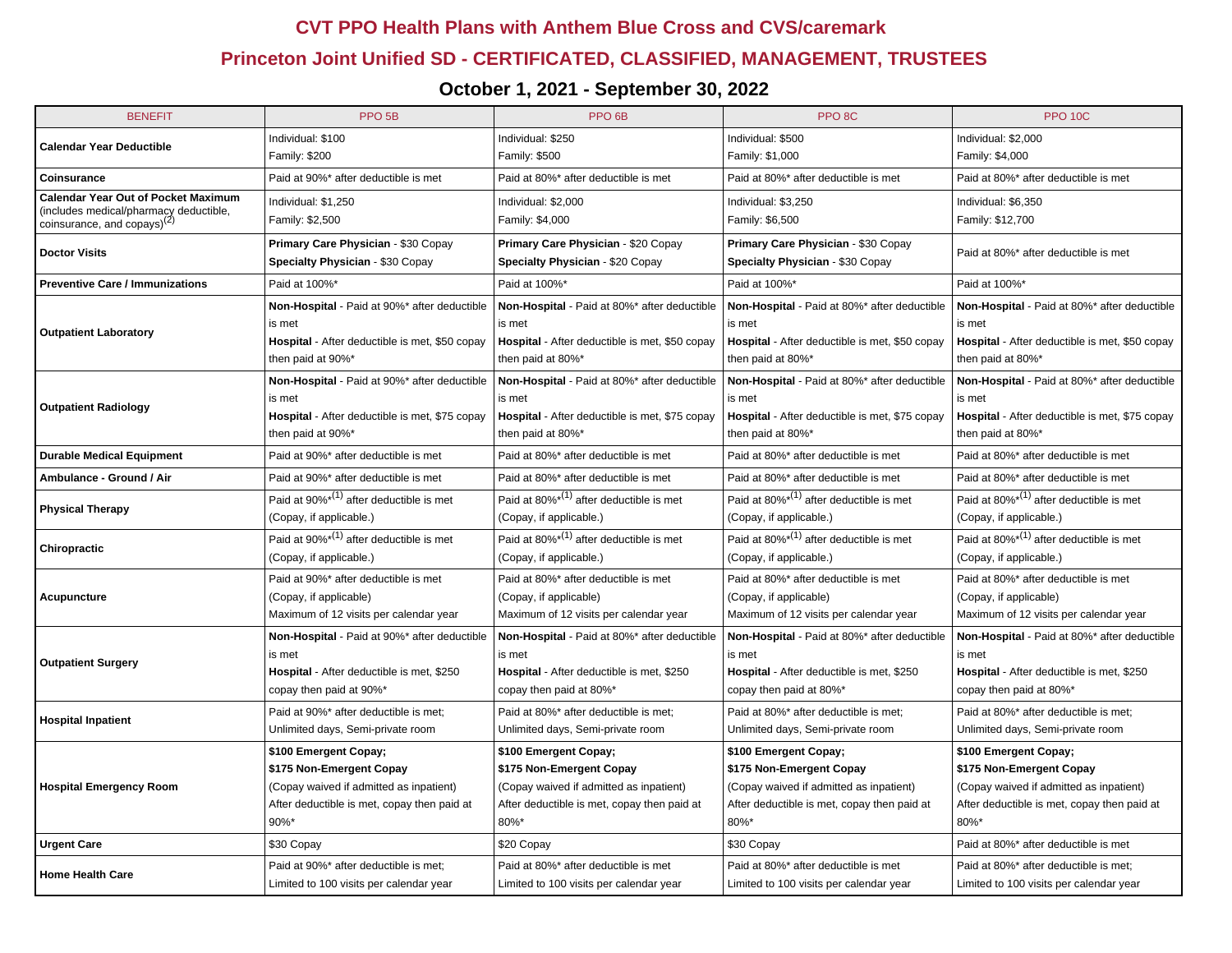## **CVT PPO Health Plans with Anthem Blue Cross and CVS/caremark**

## **Princeton Joint Unified SD - CERTIFICATED, CLASSIFIED, MANAGEMENT, TRUSTEES**

## **October 1, 2021 - September 30, 2022**

| <b>BENEFIT</b>                                                                    | PPO <sub>5B</sub>                              | PPO <sub>6</sub> B                                  | PPO <sub>8C</sub>                              | <b>PPO 10C</b>                                      |  |
|-----------------------------------------------------------------------------------|------------------------------------------------|-----------------------------------------------------|------------------------------------------------|-----------------------------------------------------|--|
| <b>Calendar Year Deductible</b>                                                   | Individual: \$100                              | Individual: \$250                                   | Individual: \$500                              | Individual: \$2,000                                 |  |
|                                                                                   | Family: \$200                                  | Family: \$500                                       | Family: \$1,000                                | Family: \$4,000                                     |  |
| Coinsurance                                                                       | Paid at 90%* after deductible is met           | Paid at 80%* after deductible is met                | Paid at 80%* after deductible is met           | Paid at 80%* after deductible is met                |  |
| <b>Calendar Year Out of Pocket Maximum</b>                                        | Individual: \$1,250                            | Individual: \$2,000                                 | Individual: \$3,250                            | Individual: \$6,350                                 |  |
| (includes medical/pharmacy deductible,<br>coinsurance, and copays) <sup>(2)</sup> | Family: \$2,500                                | Family: \$4,000                                     | Family: \$6,500                                | Family: \$12,700                                    |  |
|                                                                                   | Primary Care Physician - \$30 Copay            | Primary Care Physician - \$20 Copay                 | Primary Care Physician - \$30 Copay            | Paid at 80%* after deductible is met                |  |
| <b>Doctor Visits</b>                                                              | Specialty Physician - \$30 Copay               | Specialty Physician - \$20 Copay                    | Specialty Physician - \$30 Copay               |                                                     |  |
| <b>Preventive Care / Immunizations</b>                                            | Paid at 100%*                                  | Paid at 100%*                                       | Paid at 100%*                                  | Paid at 100%*                                       |  |
|                                                                                   | Non-Hospital - Paid at 90%* after deductible   | Non-Hospital - Paid at 80%* after deductible        | Non-Hospital - Paid at 80%* after deductible   | Non-Hospital - Paid at 80%* after deductible        |  |
| <b>Outpatient Laboratory</b>                                                      | is met                                         | is met                                              | is met                                         | is met                                              |  |
|                                                                                   | Hospital - After deductible is met, \$50 copay | Hospital - After deductible is met, \$50 copay      | Hospital - After deductible is met, \$50 copay | Hospital - After deductible is met, \$50 copay      |  |
|                                                                                   | then paid at 90%*                              | then paid at 80%*                                   | then paid at 80%*                              | then paid at 80%*                                   |  |
|                                                                                   | Non-Hospital - Paid at 90%* after deductible   | Non-Hospital - Paid at 80%* after deductible        | Non-Hospital - Paid at 80%* after deductible   | Non-Hospital - Paid at 80%* after deductible        |  |
| <b>Outpatient Radiology</b>                                                       | is met                                         | is met                                              | is met                                         | is met                                              |  |
|                                                                                   | Hospital - After deductible is met, \$75 copay | Hospital - After deductible is met, \$75 copay      | Hospital - After deductible is met, \$75 copay | Hospital - After deductible is met, \$75 copay      |  |
|                                                                                   | then paid at 90%*                              | then paid at 80%*                                   | then paid at 80%*                              | then paid at 80%*                                   |  |
| <b>Durable Medical Equipment</b>                                                  | Paid at 90%* after deductible is met           | Paid at 80%* after deductible is met                | Paid at 80%* after deductible is met           | Paid at 80%* after deductible is met                |  |
| Ambulance - Ground / Air                                                          | Paid at 90%* after deductible is met           | Paid at 80%* after deductible is met                | Paid at 80%* after deductible is met           | Paid at 80%* after deductible is met                |  |
| <b>Physical Therapy</b>                                                           | Paid at $90\%^{*(1)}$ after deductible is met  | Paid at $80\%^{*(1)}$ after deductible is met       | Paid at $80\%^{*(1)}$ after deductible is met  | Paid at $80\%^{*(1)}$ after deductible is met       |  |
|                                                                                   | (Copay, if applicable.)                        | (Copay, if applicable.)                             | (Copay, if applicable.)                        | (Copay, if applicable.)                             |  |
|                                                                                   | Paid at $90\%^{*(1)}$ after deductible is met  | Paid at 80% <sup>*(1)</sup> after deductible is met | Paid at $80\%^{*(1)}$ after deductible is met  | Paid at 80% <sup>*(1)</sup> after deductible is met |  |
| Chiropractic                                                                      | (Copay, if applicable.)                        | (Copay, if applicable.)                             | (Copay, if applicable.)                        | (Copay, if applicable.)                             |  |
|                                                                                   | Paid at 90%* after deductible is met           | Paid at 80%* after deductible is met                | Paid at 80%* after deductible is met           | Paid at 80%* after deductible is met                |  |
| <b>Acupuncture</b>                                                                | (Copay, if applicable)                         | (Copay, if applicable)                              | (Copay, if applicable)                         | (Copay, if applicable)                              |  |
|                                                                                   | Maximum of 12 visits per calendar year         | Maximum of 12 visits per calendar year              | Maximum of 12 visits per calendar year         | Maximum of 12 visits per calendar year              |  |
|                                                                                   | Non-Hospital - Paid at 90%* after deductible   | Non-Hospital - Paid at 80%* after deductible        | Non-Hospital - Paid at 80%* after deductible   | Non-Hospital - Paid at 80%* after deductible        |  |
| <b>Outpatient Surgery</b>                                                         | is met                                         | is met                                              | is met                                         | is met                                              |  |
|                                                                                   | Hospital - After deductible is met, \$250      | Hospital - After deductible is met, \$250           | Hospital - After deductible is met, \$250      | Hospital - After deductible is met, \$250           |  |
|                                                                                   | copay then paid at 90%*                        | copay then paid at 80%*                             | copay then paid at 80%*                        | copay then paid at 80%*                             |  |
| <b>Hospital Inpatient</b>                                                         | Paid at 90%* after deductible is met;          | Paid at 80%* after deductible is met;               | Paid at 80%* after deductible is met;          | Paid at 80%* after deductible is met;               |  |
|                                                                                   | Unlimited days, Semi-private room              | Unlimited days, Semi-private room                   | Unlimited days, Semi-private room              | Unlimited days, Semi-private room                   |  |
|                                                                                   | \$100 Emergent Copay;                          | \$100 Emergent Copay;                               | \$100 Emergent Copay;                          | \$100 Emergent Copay;                               |  |
|                                                                                   | \$175 Non-Emergent Copay                       | \$175 Non-Emergent Copay                            | \$175 Non-Emergent Copay                       | \$175 Non-Emergent Copay                            |  |
| <b>Hospital Emergency Room</b>                                                    | (Copay waived if admitted as inpatient)        | (Copay waived if admitted as inpatient)             | (Copay waived if admitted as inpatient)        | (Copay waived if admitted as inpatient)             |  |
|                                                                                   | After deductible is met, copay then paid at    | After deductible is met, copay then paid at         | After deductible is met, copay then paid at    | After deductible is met, copay then paid at         |  |
|                                                                                   | $90\%$ *                                       | 80%*                                                | 80%*                                           | 80%*                                                |  |
| <b>Urgent Care</b>                                                                | \$30 Copay                                     | \$20 Copay                                          | \$30 Copay                                     | Paid at 80%* after deductible is met                |  |
| <b>Home Health Care</b>                                                           | Paid at 90%* after deductible is met;          | Paid at 80%* after deductible is met                | Paid at 80%* after deductible is met           | Paid at 80%* after deductible is met;               |  |
|                                                                                   | Limited to 100 visits per calendar year        | Limited to 100 visits per calendar year             | Limited to 100 visits per calendar year        | Limited to 100 visits per calendar year             |  |